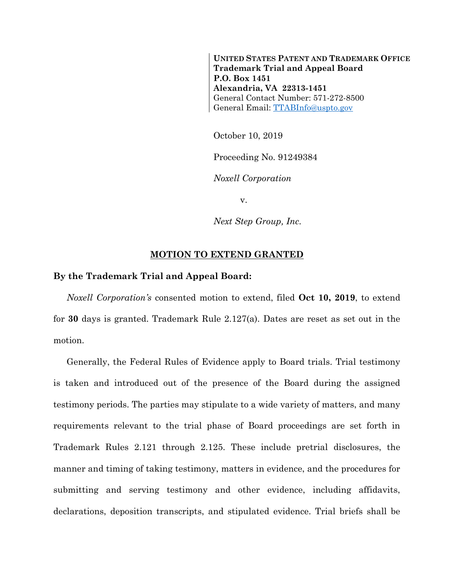**UNITED STATES PATENT AND TRADEMARK OFFICE Trademark Trial and Appeal Board P.O. Box 1451 Alexandria, VA 22313-1451** General Contact Number: 571-272-8500 General Email: [TTABInfo@uspto.gov](mailto:TTABInfo@uspto.gov)

October 10, 2019

Proceeding No. 91249384

*Noxell Corporation*

v.

*Next Step Group, Inc.*

## **MOTION TO EXTEND GRANTED**

## **By the Trademark Trial and Appeal Board:**

*Noxell Corporation's* consented motion to extend, filed **Oct 10, 2019**, to extend for **30** days is granted. Trademark Rule 2.127(a). Dates are reset as set out in the motion.

Generally, the Federal Rules of Evidence apply to Board trials. Trial testimony is taken and introduced out of the presence of the Board during the assigned testimony periods. The parties may stipulate to a wide variety of matters, and many requirements relevant to the trial phase of Board proceedings are set forth in Trademark Rules 2.121 through 2.125. These include pretrial disclosures, the manner and timing of taking testimony, matters in evidence, and the procedures for submitting and serving testimony and other evidence, including affidavits, declarations, deposition transcripts, and stipulated evidence. Trial briefs shall be